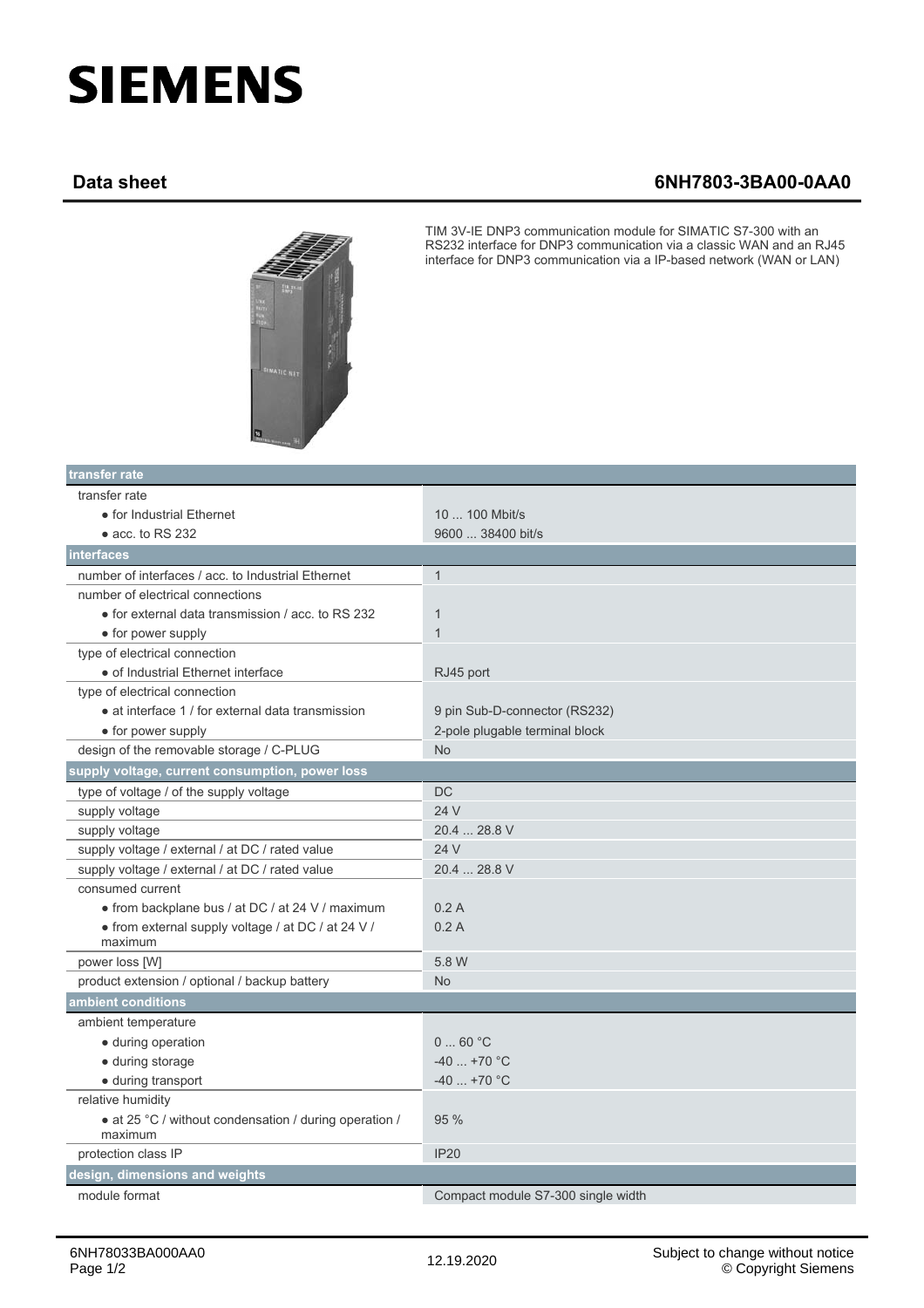## **SIEMENS**

## **Data sheet 6NH7803-3BA00-0AA0**



TIM 3V-IE DNP3 communication module for SIMATIC S7-300 with an RS232 interface for DNP3 communication via a classic WAN and an RJ45 interface for DNP3 communication via a IP-based network (WAN or LAN)

| transfer rate                                                     |                                    |
|-------------------------------------------------------------------|------------------------------------|
| transfer rate                                                     |                                    |
| • for Industrial Ethernet                                         | 10  100 Mbit/s                     |
| $\bullet$ acc. to RS 232                                          | 9600  38400 bit/s                  |
| interfaces                                                        |                                    |
| number of interfaces / acc. to Industrial Ethernet                | $\mathbf{1}$                       |
| number of electrical connections                                  |                                    |
| • for external data transmission / acc. to RS 232                 | $\mathbf{1}$                       |
| • for power supply                                                | $\mathbf{1}$                       |
| type of electrical connection                                     |                                    |
| · of Industrial Ethernet interface                                | RJ45 port                          |
| type of electrical connection                                     |                                    |
| • at interface 1 / for external data transmission                 | 9 pin Sub-D-connector (RS232)      |
| • for power supply                                                | 2-pole plugable terminal block     |
| design of the removable storage / C-PLUG                          | <b>No</b>                          |
| supply voltage, current consumption, power loss                   |                                    |
| type of voltage / of the supply voltage                           | <b>DC</b>                          |
| supply voltage                                                    | 24 V                               |
| supply voltage                                                    | 20.4  28.8 V                       |
| supply voltage / external / at DC / rated value                   | 24 V                               |
| supply voltage / external / at DC / rated value                   | 20.4  28.8 V                       |
| consumed current                                                  |                                    |
| • from backplane bus / at DC / at 24 V / maximum                  | 0.2A                               |
| • from external supply voltage / at DC / at 24 V /                | 0.2A                               |
| maximum                                                           |                                    |
| power loss [W]                                                    | 5.8 W                              |
| product extension / optional / backup battery                     | <b>No</b>                          |
| ambient conditions                                                |                                    |
| ambient temperature                                               |                                    |
| · during operation                                                | $0 \dots 60 °C$                    |
| · during storage                                                  | $-40$ +70 °C                       |
| · during transport                                                | $-40$ +70 °C                       |
| relative humidity                                                 |                                    |
| • at 25 °C / without condensation / during operation /<br>maximum | 95 %                               |
| protection class IP                                               | <b>IP20</b>                        |
| design, dimensions and weights                                    |                                    |
| module format                                                     | Compact module S7-300 single width |